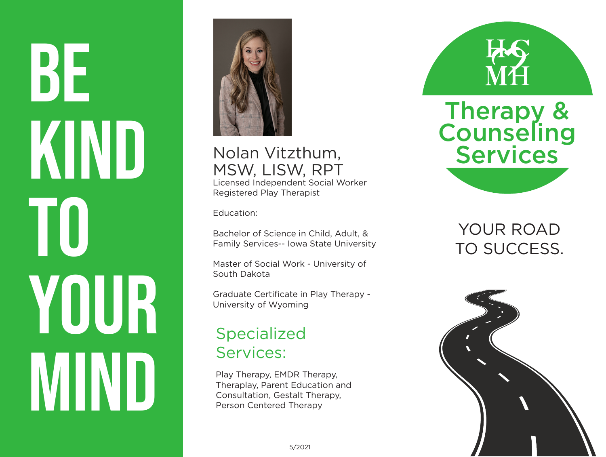BE KIND TO YOUR IVIIN



#### Nolan Vitzthum, MSW, LISW, RPT Licensed Independent Social Worker Registered Play Therapist

Education:

Bachelor of Science in Child, Adult, & Family Services-- Iowa State University

Master of Social Work - University of South Dakota

Graduate Certificate in Play Therapy - University of Wyoming

#### Specialized Services:

Play Therapy, EMDR Therapy, Theraplay, Parent Education and Consultation, Gestalt Therapy, Person Centered Therapy



YOUR ROAD TO SUCCESS.